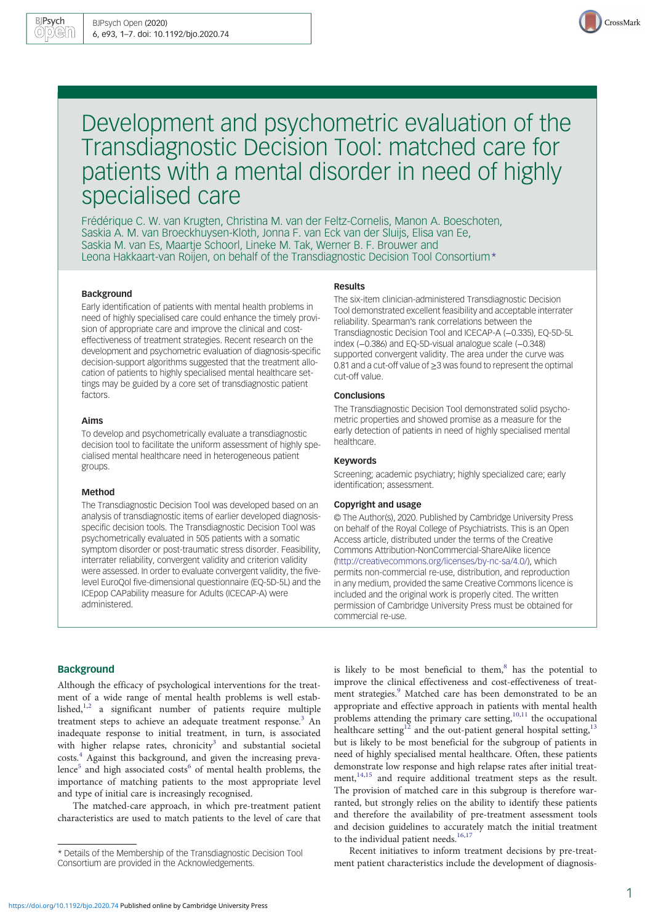

# Development and psychometric evaluation of the Transdiagnostic Decision Tool: matched care for patients with a mental disorder in need of highly specialised care

Frédérique C. W. van Krugten, Christina M. van der Feltz-Cornelis, Manon A. Boeschoten, Saskia A. M. van Broeckhuysen-Kloth, Jonna F. van Eck van der Sluijs, Elisa van Ee, Saskia M. van Es, Maartje Schoorl, Lineke M. Tak, Werner B. F. Brouwer and Leona Hakkaart-van Roijen, on behalf of the Transdiagnostic Decision Tool Consortium\*

## Background

Early identification of patients with mental health problems in need of highly specialised care could enhance the timely provision of appropriate care and improve the clinical and costeffectiveness of treatment strategies. Recent research on the development and psychometric evaluation of diagnosis-specific decision-support algorithms suggested that the treatment allocation of patients to highly specialised mental healthcare settings may be guided by a core set of transdiagnostic patient factors.

#### Aims

To develop and psychometrically evaluate a transdiagnostic decision tool to facilitate the uniform assessment of highly specialised mental healthcare need in heterogeneous patient groups.

## Method

The Transdiagnostic Decision Tool was developed based on an analysis of transdiagnostic items of earlier developed diagnosisspecific decision tools. The Transdiagnostic Decision Tool was psychometrically evaluated in 505 patients with a somatic symptom disorder or post-traumatic stress disorder. Feasibility, interrater reliability, convergent validity and criterion validity were assessed. In order to evaluate convergent validity, the fivelevel EuroQol five-dimensional questionnaire (EQ-5D-5L) and the ICEpop CAPability measure for Adults (ICECAP-A) were administered.

#### Results

The six-item clinician-administered Transdiagnostic Decision Tool demonstrated excellent feasibility and acceptable interrater reliability. Spearman's rank correlations between the Transdiagnostic Decision Tool and ICECAP-A (−0.335), EQ-5D-5L index (−0.386) and EQ-5D-visual analogue scale (−0.348) supported convergent validity. The area under the curve was 0.81 and a cut-off value of ≥3 was found to represent the optimal cut-off value.

#### **Conclusions**

The Transdiagnostic Decision Tool demonstrated solid psychometric properties and showed promise as a measure for the early detection of patients in need of highly specialised mental healthcare.

## Keywords

Screening; academic psychiatry; highly specialized care; early identification; assessment.

# Copyright and usage

© The Author(s), 2020. Published by Cambridge University Press on behalf of the Royal College of Psychiatrists. This is an Open Access article, distributed under the terms of the Creative Commons Attribution-NonCommercial-ShareAlike licence [\(http://creativecommons.org/licenses/by-nc-sa/4.0/](http://creativecommons.org/licenses/by-nc-sa/4.0/)), which permits non-commercial re-use, distribution, and reproduction in any medium, provided the same Creative Commons licence is included and the original work is properly cited. The written permission of Cambridge University Press must be obtained for commercial re-use.

## **Background**

Although the efficacy of psychological interventions for the treatment of a wide range of mental health problems is well established, $1,2$  a significant number of patients require multiple treatment steps to achieve an adequate treatment response.[3](#page-6-0) An inadequate response to initial treatment, in turn, is associated with higher relapse rates, chronicity<sup>3</sup> and substantial societal costs.[4](#page-6-0) Against this background, and given the increasing preva-lence<sup>[5](#page-6-0)</sup> and high associated costs<sup>[6](#page-6-0)</sup> of mental health problems, the importance of matching patients to the most appropriate level and type of initial care is increasingly recognised.

The matched-care approach, in which pre-treatment patient characteristics are used to match patients to the level of care that is likely to be most beneficial to them, $8$  has the potential to improve the clinical effectiveness and cost-effectiveness of treatment strategies.<sup>9</sup> Matched care has been demonstrated to be an appropriate and effective approach in patients with mental health problems attending the primary care setting, $10,11$  the occupational healthcare setting<sup>12</sup> and the out-patient general hospital setting,<sup>[13](#page-6-0)</sup> but is likely to be most beneficial for the subgroup of patients in need of highly specialised mental healthcare. Often, these patients demonstrate low response and high relapse rates after initial treat-ment,<sup>[14,15](#page-6-0)</sup> and require additional treatment steps as the result. The provision of matched care in this subgroup is therefore warranted, but strongly relies on the ability to identify these patients and therefore the availability of pre-treatment assessment tools and decision guidelines to accurately match the initial treatment to the individual patient needs. $16,17$  $16,17$  $16,17$ 

Recent initiatives to inform treatment decisions by pre-treatment patient characteristics include the development of diagnosis-

<sup>\*</sup> Details of the Membership of the Transdiagnostic Decision Tool Consortium are provided in the Acknowledgements.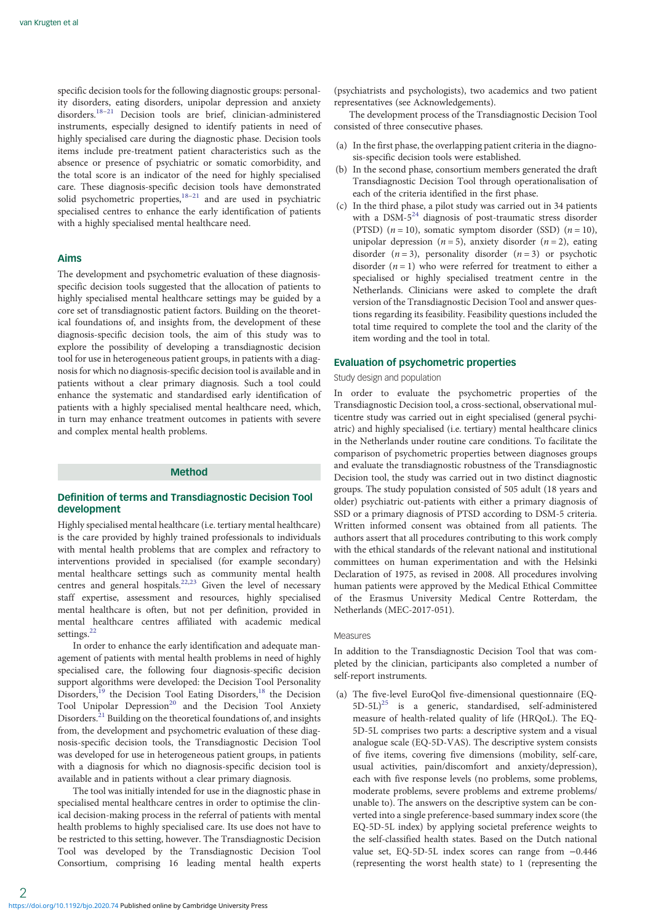specific decision tools for the following diagnostic groups: personality disorders, eating disorders, unipolar depression and anxiety disorders.<sup>[18](#page-6-0)-[21](#page-6-0)</sup> Decision tools are brief, clinician-administered instruments, especially designed to identify patients in need of highly specialised care during the diagnostic phase. Decision tools items include pre-treatment patient characteristics such as the absence or presence of psychiatric or somatic comorbidity, and the total score is an indicator of the need for highly specialised care. These diagnosis-specific decision tools have demonstrated solid psychometric properties, $18-21$  $18-21$  $18-21$  and are used in psychiatric specialised centres to enhance the early identification of patients with a highly specialised mental healthcare need.

# Aims

The development and psychometric evaluation of these diagnosisspecific decision tools suggested that the allocation of patients to highly specialised mental healthcare settings may be guided by a core set of transdiagnostic patient factors. Building on the theoretical foundations of, and insights from, the development of these diagnosis-specific decision tools, the aim of this study was to explore the possibility of developing a transdiagnostic decision tool for use in heterogeneous patient groups, in patients with a diagnosis for which no diagnosis-specific decision tool is available and in patients without a clear primary diagnosis. Such a tool could enhance the systematic and standardised early identification of patients with a highly specialised mental healthcare need, which, in turn may enhance treatment outcomes in patients with severe and complex mental health problems.

#### Method

# Definition of terms and Transdiagnostic Decision Tool development

Highly specialised mental healthcare (i.e. tertiary mental healthcare) is the care provided by highly trained professionals to individuals with mental health problems that are complex and refractory to interventions provided in specialised (for example secondary) mental healthcare settings such as community mental health centres and general hospitals.<sup>[22](#page-6-0),[23](#page-6-0)</sup> Given the level of necessary staff expertise, assessment and resources, highly specialised mental healthcare is often, but not per definition, provided in mental healthcare centres affiliated with academic medical settings.<sup>[22](#page-6-0)</sup>

In order to enhance the early identification and adequate management of patients with mental health problems in need of highly specialised care, the following four diagnosis-specific decision support algorithms were developed: the Decision Tool Personality Disorders,<sup>[19](#page-6-0)</sup> the Decision Tool Eating Disorders,<sup>[18](#page-6-0)</sup> the Decision Tool Unipolar Depression<sup>[20](#page-6-0)</sup> and the Decision Tool Anxiety Disorders.<sup>[21](#page-6-0)</sup> Building on the theoretical foundations of, and insights from, the development and psychometric evaluation of these diagnosis-specific decision tools, the Transdiagnostic Decision Tool was developed for use in heterogeneous patient groups, in patients with a diagnosis for which no diagnosis-specific decision tool is available and in patients without a clear primary diagnosis.

The tool was initially intended for use in the diagnostic phase in specialised mental healthcare centres in order to optimise the clinical decision-making process in the referral of patients with mental health problems to highly specialised care. Its use does not have to be restricted to this setting, however. The Transdiagnostic Decision Tool was developed by the Transdiagnostic Decision Tool Consortium, comprising 16 leading mental health experts

(psychiatrists and psychologists), two academics and two patient representatives (see Acknowledgements).

The development process of the Transdiagnostic Decision Tool consisted of three consecutive phases.

- (a) In the first phase, the overlapping patient criteria in the diagnosis-specific decision tools were established.
- (b) In the second phase, consortium members generated the draft Transdiagnostic Decision Tool through operationalisation of each of the criteria identified in the first phase.
- (c) In the third phase, a pilot study was carried out in 34 patients with a  $DSM-5^{24}$  $DSM-5^{24}$  $DSM-5^{24}$  diagnosis of post-traumatic stress disorder (PTSD)  $(n = 10)$ , somatic symptom disorder (SSD)  $(n = 10)$ , unipolar depression ( $n = 5$ ), anxiety disorder ( $n = 2$ ), eating disorder  $(n = 3)$ , personality disorder  $(n = 3)$  or psychotic disorder  $(n = 1)$  who were referred for treatment to either a specialised or highly specialised treatment centre in the Netherlands. Clinicians were asked to complete the draft version of the Transdiagnostic Decision Tool and answer questions regarding its feasibility. Feasibility questions included the total time required to complete the tool and the clarity of the item wording and the tool in total.

# Evaluation of psychometric properties

# Study design and population

In order to evaluate the psychometric properties of the Transdiagnostic Decision tool, a cross-sectional, observational multicentre study was carried out in eight specialised (general psychiatric) and highly specialised (i.e. tertiary) mental healthcare clinics in the Netherlands under routine care conditions. To facilitate the comparison of psychometric properties between diagnoses groups and evaluate the transdiagnostic robustness of the Transdiagnostic Decision tool, the study was carried out in two distinct diagnostic groups. The study population consisted of 505 adult (18 years and older) psychiatric out-patients with either a primary diagnosis of SSD or a primary diagnosis of PTSD according to DSM-5 criteria. Written informed consent was obtained from all patients. The authors assert that all procedures contributing to this work comply with the ethical standards of the relevant national and institutional committees on human experimentation and with the Helsinki Declaration of 1975, as revised in 2008. All procedures involving human patients were approved by the Medical Ethical Committee of the Erasmus University Medical Centre Rotterdam, the Netherlands (MEC-2017-051).

#### **Measures**

In addition to the Transdiagnostic Decision Tool that was completed by the clinician, participants also completed a number of self-report instruments.

(a) The five-level EuroQol five-dimensional questionnaire (EQ- $5D-5L$ <sup>[25](#page-6-0)</sup> is a generic, standardised, self-administered measure of health-related quality of life (HRQoL). The EQ-5D-5L comprises two parts: a descriptive system and a visual analogue scale (EQ-5D-VAS). The descriptive system consists of five items, covering five dimensions (mobility, self-care, usual activities, pain/discomfort and anxiety/depression), each with five response levels (no problems, some problems, moderate problems, severe problems and extreme problems/ unable to). The answers on the descriptive system can be converted into a single preference-based summary index score (the EQ-5D-5L index) by applying societal preference weights to the self-classified health states. Based on the Dutch national value set, EQ-5D-5L index scores can range from −0.446 (representing the worst health state) to 1 (representing the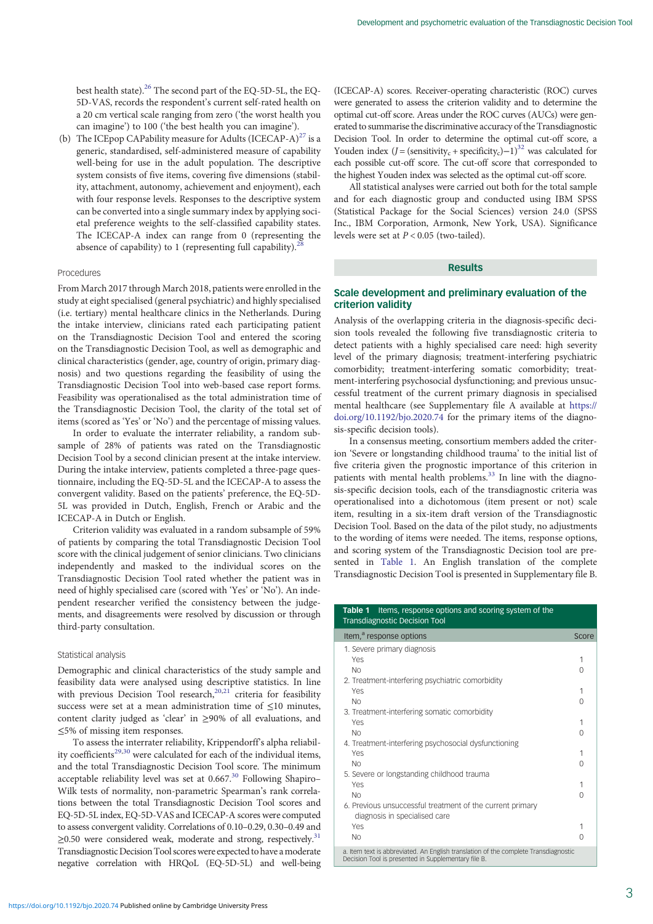best health state).<sup>[26](#page-6-0)</sup> The second part of the EQ-5D-5L, the EQ-5D-VAS, records the respondent's current self-rated health on a 20 cm vertical scale ranging from zero ('the worst health you can imagine') to 100 ('the best health you can imagine').

(b) The ICEpop CAPability measure for Adults  $(ICECAP-A)^{27}$  $(ICECAP-A)^{27}$  $(ICECAP-A)^{27}$  is a generic, standardised, self-administered measure of capability well-being for use in the adult population. The descriptive system consists of five items, covering five dimensions (stability, attachment, autonomy, achievement and enjoyment), each with four response levels. Responses to the descriptive system can be converted into a single summary index by applying societal preference weights to the self-classified capability states. The ICECAP-A index can range from 0 (representing the absence of capability) to 1 (representing full capability). $^{2}$ 

#### Procedures

From March 2017 through March 2018, patients were enrolled in the study at eight specialised (general psychiatric) and highly specialised (i.e. tertiary) mental healthcare clinics in the Netherlands. During the intake interview, clinicians rated each participating patient on the Transdiagnostic Decision Tool and entered the scoring on the Transdiagnostic Decision Tool, as well as demographic and clinical characteristics (gender, age, country of origin, primary diagnosis) and two questions regarding the feasibility of using the Transdiagnostic Decision Tool into web-based case report forms. Feasibility was operationalised as the total administration time of the Transdiagnostic Decision Tool, the clarity of the total set of items (scored as 'Yes' or 'No') and the percentage of missing values.

In order to evaluate the interrater reliability, a random subsample of 28% of patients was rated on the Transdiagnostic Decision Tool by a second clinician present at the intake interview. During the intake interview, patients completed a three-page questionnaire, including the EQ-5D-5L and the ICECAP-A to assess the convergent validity. Based on the patients' preference, the EQ-5D-5L was provided in Dutch, English, French or Arabic and the ICECAP-A in Dutch or English.

Criterion validity was evaluated in a random subsample of 59% of patients by comparing the total Transdiagnostic Decision Tool score with the clinical judgement of senior clinicians. Two clinicians independently and masked to the individual scores on the Transdiagnostic Decision Tool rated whether the patient was in need of highly specialised care (scored with 'Yes' or 'No'). An independent researcher verified the consistency between the judgements, and disagreements were resolved by discussion or through third-party consultation.

#### Statistical analysis

Demographic and clinical characteristics of the study sample and feasibility data were analysed using descriptive statistics. In line with previous Decision Tool research,<sup>[20](#page-6-0),[21](#page-6-0)</sup> criteria for feasibility success were set at a mean administration time of ≤10 minutes, content clarity judged as 'clear' in ≥90% of all evaluations, and ≤5% of missing item responses.

To assess the interrater reliability, Krippendorff's alpha reliabil-ity coefficients<sup>[29,30](#page-6-0)</sup> were calculated for each of the individual items, and the total Transdiagnostic Decision Tool score. The minimum acceptable reliability level was set at  $0.667$ .<sup>30</sup> Following Shapiro– Wilk tests of normality, non-parametric Spearman's rank correlations between the total Transdiagnostic Decision Tool scores and EQ-5D-5L index, EQ-5D-VAS and ICECAP-A scores were computed to assess convergent validity. Correlations of 0.10–0.29, 0.30–0.49 and  $\geq$ 0.50 were considered weak, moderate and strong, respectively.<sup>31</sup> Transdiagnostic Decision Tool scoreswere expected to have a moderate negative correlation with HRQoL (EQ-5D-5L) and well-being (ICECAP-A) scores. Receiver-operating characteristic (ROC) curves were generated to assess the criterion validity and to determine the optimal cut-off score. Areas under the ROC curves (AUCs) were generated to summarise the discriminative accuracy of the Transdiagnostic Decision Tool. In order to determine the optimal cut-off score, a Youden index ( $J = (sensitivity_c + specificity_c) - 1)^{32}$  was calculated for each possible cut-off score. The cut-off score that corresponded to the highest Youden index was selected as the optimal cut-off score.

All statistical analyses were carried out both for the total sample and for each diagnostic group and conducted using IBM SPSS (Statistical Package for the Social Sciences) version 24.0 (SPSS Inc., IBM Corporation, Armonk, New York, USA). Significance levels were set at  $P < 0.05$  (two-tailed).

## Results

# Scale development and preliminary evaluation of the criterion validity

Analysis of the overlapping criteria in the diagnosis-specific decision tools revealed the following five transdiagnostic criteria to detect patients with a highly specialised care need: high severity level of the primary diagnosis; treatment-interfering psychiatric comorbidity; treatment-interfering somatic comorbidity; treatment-interfering psychosocial dysfunctioning; and previous unsuccessful treatment of the current primary diagnosis in specialised mental healthcare (see Supplementary file A available at [https://](https://doi.org/10.1192/bjo.2020.74) [doi.org/10.1192/bjo.2020.74](https://doi.org/10.1192/bjo.2020.74) for the primary items of the diagnosis-specific decision tools).

In a consensus meeting, consortium members added the criterion 'Severe or longstanding childhood trauma' to the initial list of five criteria given the prognostic importance of this criterion in patients with mental health problems. $33$  In line with the diagnosis-specific decision tools, each of the transdiagnostic criteria was operationalised into a dichotomous (item present or not) scale item, resulting in a six-item draft version of the Transdiagnostic Decision Tool. Based on the data of the pilot study, no adjustments to the wording of items were needed. The items, response options, and scoring system of the Transdiagnostic Decision tool are presented in Table 1. An English translation of the complete Transdiagnostic Decision Tool is presented in Supplementary file B.

| Items, response options and scoring system of the<br>Table 1<br><b>Transdiagnostic Decision Tool</b>                                       |          |  |  |  |
|--------------------------------------------------------------------------------------------------------------------------------------------|----------|--|--|--|
| Item, <sup>a</sup> response options                                                                                                        | Score    |  |  |  |
| 1. Severe primary diagnosis                                                                                                                |          |  |  |  |
| Yes                                                                                                                                        | 1        |  |  |  |
| N <sub>0</sub>                                                                                                                             | $\Omega$ |  |  |  |
| 2. Treatment-interfering psychiatric comorbidity                                                                                           |          |  |  |  |
| Yes                                                                                                                                        | 1        |  |  |  |
| <b>No</b>                                                                                                                                  | 0        |  |  |  |
| 3. Treatment-interfering somatic comorbidity                                                                                               |          |  |  |  |
| Yes                                                                                                                                        | 1        |  |  |  |
| No                                                                                                                                         | 0        |  |  |  |
| 4. Treatment-interfering psychosocial dysfunctioning                                                                                       |          |  |  |  |
| Yes                                                                                                                                        | 1        |  |  |  |
| <b>No</b>                                                                                                                                  | 0        |  |  |  |
| 5. Severe or longstanding childhood trauma<br>Yes                                                                                          | 1        |  |  |  |
| <b>No</b>                                                                                                                                  | 0        |  |  |  |
| 6. Previous unsuccessful treatment of the current primary                                                                                  |          |  |  |  |
| diagnosis in specialised care                                                                                                              |          |  |  |  |
| Yes                                                                                                                                        | 1        |  |  |  |
| <b>No</b>                                                                                                                                  | 0        |  |  |  |
|                                                                                                                                            |          |  |  |  |
| a. Item text is abbreviated. An English translation of the complete Transdiagnostic<br>Decision Tool is presented in Supplementary file B. |          |  |  |  |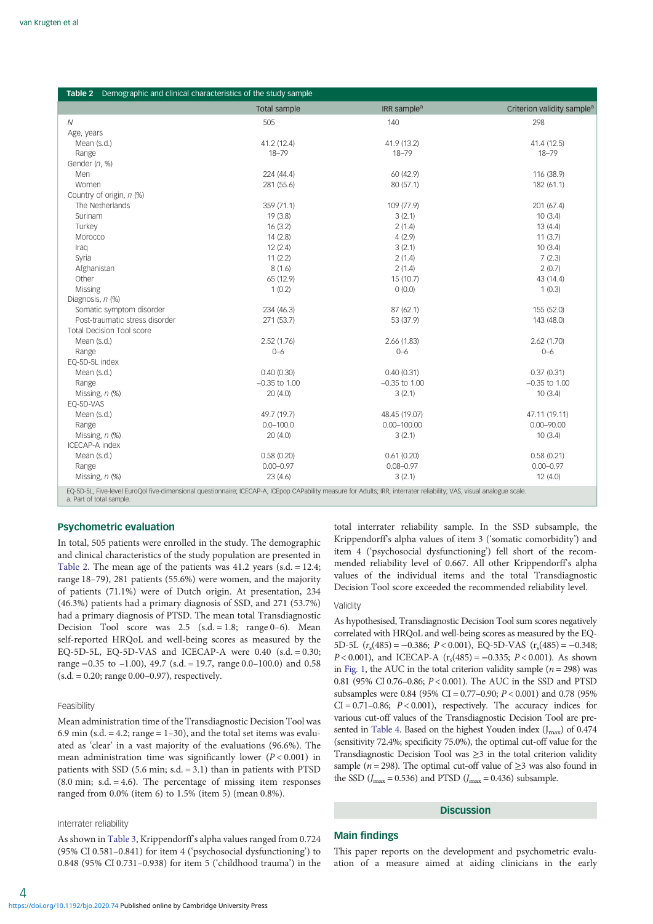| Table 2 Demographic and clinical characteristics of the study sample                                                                                                                              |                     |                         |                                        |  |  |  |  |
|---------------------------------------------------------------------------------------------------------------------------------------------------------------------------------------------------|---------------------|-------------------------|----------------------------------------|--|--|--|--|
|                                                                                                                                                                                                   | <b>Total sample</b> | IRR sample <sup>a</sup> | Criterion validity sample <sup>a</sup> |  |  |  |  |
| $\mathcal N$                                                                                                                                                                                      | 505                 | 140                     | 298                                    |  |  |  |  |
| Age, years                                                                                                                                                                                        |                     |                         |                                        |  |  |  |  |
| Mean (s.d.)                                                                                                                                                                                       | 41.2 (12.4)         | 41.9 (13.2)             | 41.4 (12.5)                            |  |  |  |  |
| Range                                                                                                                                                                                             | $18 - 79$           | $18 - 79$               | $18 - 79$                              |  |  |  |  |
| Gender (n, %)                                                                                                                                                                                     |                     |                         |                                        |  |  |  |  |
| Men                                                                                                                                                                                               | 224 (44.4)          | 60 (42.9)               | 116 (38.9)                             |  |  |  |  |
| Women                                                                                                                                                                                             | 281 (55.6)          | 80 (57.1)               | 182 (61.1)                             |  |  |  |  |
| Country of origin, n (%)                                                                                                                                                                          |                     |                         |                                        |  |  |  |  |
| The Netherlands                                                                                                                                                                                   | 359 (71.1)          | 109 (77.9)              | 201 (67.4)                             |  |  |  |  |
| Surinam                                                                                                                                                                                           | 19(3.8)             | 3(2.1)                  | 10(3.4)                                |  |  |  |  |
| Turkey                                                                                                                                                                                            | 16(3.2)             | 2(1.4)                  | 13(4.4)                                |  |  |  |  |
| Morocco                                                                                                                                                                                           | 14(2.8)             | 4(2.9)                  | 11(3.7)                                |  |  |  |  |
| Iraq                                                                                                                                                                                              | 12(2.4)             | 3(2.1)                  | 10(3.4)                                |  |  |  |  |
| Syria                                                                                                                                                                                             | 11(2.2)             | 2(1.4)                  | 7(2.3)                                 |  |  |  |  |
| Afghanistan                                                                                                                                                                                       | 8(1.6)              | 2(1.4)                  | 2(0.7)                                 |  |  |  |  |
| Other                                                                                                                                                                                             | 65 (12.9)           | 15 (10.7)               | 43 (14.4)                              |  |  |  |  |
| Missing                                                                                                                                                                                           | 1(0.2)              | 0(0.0)                  | 1(0.3)                                 |  |  |  |  |
| Diagnosis, n (%)                                                                                                                                                                                  |                     |                         |                                        |  |  |  |  |
| Somatic symptom disorder                                                                                                                                                                          | 234 (46.3)          | 87 (62.1)               | 155 (52.0)                             |  |  |  |  |
| Post-traumatic stress disorder                                                                                                                                                                    | 271 (53.7)          | 53 (37.9)               | 143 (48.0)                             |  |  |  |  |
| <b>Total Decision Tool score</b>                                                                                                                                                                  |                     |                         |                                        |  |  |  |  |
| Mean (s.d.)                                                                                                                                                                                       | 2.52(1.76)          | 2.66(1.83)              | 2.62(1.70)                             |  |  |  |  |
| Range                                                                                                                                                                                             | $0 - 6$             | $0 - 6$                 | $0 - 6$                                |  |  |  |  |
| EQ-5D-5L index                                                                                                                                                                                    |                     |                         |                                        |  |  |  |  |
| Mean (s.d.)                                                                                                                                                                                       | 0.40(0.30)          | 0.40(0.31)              | 0.37(0.31)                             |  |  |  |  |
| Range                                                                                                                                                                                             | $-0.35$ to $1.00$   | $-0.35$ to $1.00$       | $-0.35$ to $1.00$                      |  |  |  |  |
| Missing, $n$ (%)                                                                                                                                                                                  | 20(4.0)             | 3(2.1)                  | 10(3.4)                                |  |  |  |  |
| EQ-5D-VAS                                                                                                                                                                                         |                     |                         |                                        |  |  |  |  |
| Mean (s.d.)                                                                                                                                                                                       | 49.7 (19.7)         | 48.45 (19.07)           | 47.11 (19.11)                          |  |  |  |  |
| Range                                                                                                                                                                                             | $0.0 - 100.0$       | $0.00 - 100.00$         | $0.00 - 90.00$                         |  |  |  |  |
| Missing, $n$ $(\%)$                                                                                                                                                                               | 20(4.0)             | 3(2.1)                  | 10(3.4)                                |  |  |  |  |
| ICECAP-A index                                                                                                                                                                                    |                     |                         |                                        |  |  |  |  |
| Mean (s.d.)                                                                                                                                                                                       | 0.58(0.20)          | 0.61(0.20)              | 0.58(0.21)                             |  |  |  |  |
| Range                                                                                                                                                                                             | $0.00 - 0.97$       | $0.08 - 0.97$           | $0.00 - 0.97$                          |  |  |  |  |
| Missing, $n$ $(\%)$                                                                                                                                                                               | 23(4.6)             | 3(2.1)                  | 12(4.0)                                |  |  |  |  |
| EQ-5D-5L, Five-level EuroQol five-dimensional questionnaire; ICECAP-A, ICEpop CAPability measure for Adults; IRR, interrater reliability; VAS, visual analogue scale.<br>a. Part of total sample. |                     |                         |                                        |  |  |  |  |

## Psychometric evaluation

In total, 505 patients were enrolled in the study. The demographic and clinical characteristics of the study population are presented in Table 2. The mean age of the patients was 41.2 years (s.d. = 12.4; range 18–79), 281 patients (55.6%) were women, and the majority of patients (71.1%) were of Dutch origin. At presentation, 234 (46.3%) patients had a primary diagnosis of SSD, and 271 (53.7%) had a primary diagnosis of PTSD. The mean total Transdiagnostic Decision Tool score was  $2.5$  (s.d. = 1.8; range 0–6). Mean self-reported HRQoL and well-being scores as measured by the EQ-5D-5L, EQ-5D-VAS and ICECAP-A were 0.40 (s.d. = 0.30; range −0.35 to –1.00), 49.7 (s.d. = 19.7, range 0.0–100.0) and 0.58 (s.d. = 0.20; range 0.00–0.97), respectively.

## Feasibility

Mean administration time of the Transdiagnostic Decision Tool was 6.9 min (s.d.  $= 4.2$ ; range  $= 1-30$ ), and the total set items was evaluated as 'clear' in a vast majority of the evaluations (96.6%). The mean administration time was significantly lower  $(P < 0.001)$  in patients with SSD (5.6 min; s.d. = 3.1) than in patients with PTSD  $(8.0 \text{ min}; \text{ s.d.} = 4.6)$ . The percentage of missing item responses ranged from 0.0% (item 6) to 1.5% (item 5) (mean 0.8%).

### Interrater reliability

As shown in [Table 3](#page-4-0), Krippendorff's alpha values ranged from 0.724 (95% CI 0.581–0.841) for item 4 ('psychosocial dysfunctioning') to 0.848 (95% CI 0.731–0.938) for item 5 ('childhood trauma') in the

total interrater reliability sample. In the SSD subsample, the Krippendorff's alpha values of item 3 ('somatic comorbidity') and item 4 ('psychosocial dysfunctioning') fell short of the recommended reliability level of 0.667. All other Krippendorff's alpha values of the individual items and the total Transdiagnostic Decision Tool score exceeded the recommended reliability level.

#### Validity

As hypothesised, Transdiagnostic Decision Tool sum scores negatively correlated with HRQoL and well-being scores as measured by the EQ-5D-5L  $(r_s(485) = -0.386; P < 0.001)$ , EQ-5D-VAS  $(r_s(485) = -0.348;$  $P < 0.001$ ), and ICECAP-A (r<sub>s</sub>(485) = -0.335;  $P < 0.001$ ). As shown in [Fig. 1,](#page-4-0) the AUC in the total criterion validity sample ( $n = 298$ ) was 0.81 (95% CI 0.76–0.86; P < 0.001). The AUC in the SSD and PTSD subsamples were 0.84 (95% CI = 0.77–0.90; P < 0.001) and 0.78 (95%  $CI = 0.71 - 0.86$ ;  $P < 0.001$ ), respectively. The accuracy indices for various cut-off values of the Transdiagnostic Decision Tool are pre-sented in [Table 4](#page-5-0). Based on the highest Youden index  $(I_{\text{max}})$  of 0.474 (sensitivity 72.4%; specificity 75.0%), the optimal cut-off value for the Transdiagnostic Decision Tool was ≥3 in the total criterion validity sample ( $n = 298$ ). The optimal cut-off value of  $\geq 3$  was also found in the SSD  $(J_{\text{max}} = 0.536)$  and PTSD  $(J_{\text{max}} = 0.436)$  subsample.

# **Discussion**

## Main findings

This paper reports on the development and psychometric evaluation of a measure aimed at aiding clinicians in the early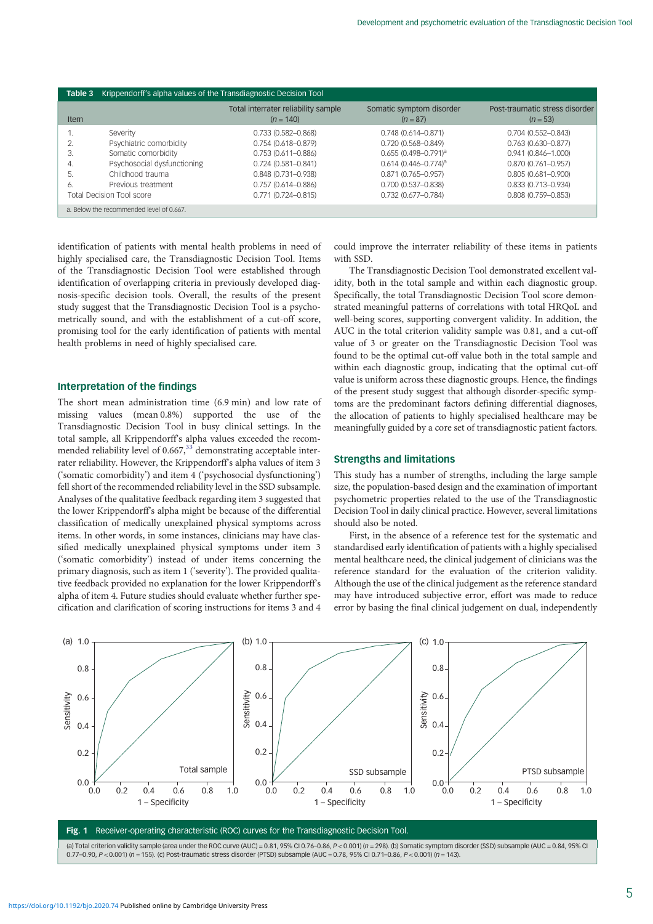<span id="page-4-0"></span>

| Krippendorff's alpha values of the Transdiagnostic Decision Tool<br>Table 3 |                             |                                                    |                                        |                                              |  |  |  |
|-----------------------------------------------------------------------------|-----------------------------|----------------------------------------------------|----------------------------------------|----------------------------------------------|--|--|--|
| Item                                                                        |                             | Total interrater reliability sample<br>$(n = 140)$ | Somatic symptom disorder<br>$(n = 87)$ | Post-traumatic stress disorder<br>$(n = 53)$ |  |  |  |
|                                                                             | Severity                    | $0.733(0.582 - 0.868)$                             | $0.748(0.614 - 0.871)$                 | $0.704(0.552 - 0.843)$                       |  |  |  |
| 2.                                                                          | Psychiatric comorbidity     | $0.754(0.618 - 0.879)$                             | 0.720 (0.568-0.849)                    | $0.763(0.630 - 0.877)$                       |  |  |  |
| 3.                                                                          | Somatic comorbidity         | $0.753(0.611 - 0.886)$                             | $0.655(0.498 - 0.791)^a$               | $0.941(0.846 - 1.000)$                       |  |  |  |
| 4.                                                                          | Psychosocial dysfunctioning | $0.724(0.581 - 0.841)$                             | $0.614$ (0.446-0.774) <sup>a</sup>     | $0.870(0.761 - 0.957)$                       |  |  |  |
| 5.                                                                          | Childhood trauma            | $0.848(0.731 - 0.938)$                             | $0.871(0.765 - 0.957)$                 | $0.805(0.681 - 0.900)$                       |  |  |  |
| 6.                                                                          | Previous treatment          | $0.757(0.614 - 0.886)$                             | $0.700(0.537 - 0.838)$                 | $0.833(0.713 - 0.934)$                       |  |  |  |
| <b>Total Decision Tool score</b>                                            |                             | $0.771(0.724 - 0.815)$                             | 0.732 (0.677-0.784)                    | $0.808(0.759 - 0.853)$                       |  |  |  |
| a. Below the recommended level of 0.667.                                    |                             |                                                    |                                        |                                              |  |  |  |

identification of patients with mental health problems in need of highly specialised care, the Transdiagnostic Decision Tool. Items of the Transdiagnostic Decision Tool were established through identification of overlapping criteria in previously developed diagnosis-specific decision tools. Overall, the results of the present study suggest that the Transdiagnostic Decision Tool is a psychometrically sound, and with the establishment of a cut-off score, promising tool for the early identification of patients with mental health problems in need of highly specialised care.

## Interpretation of the findings

The short mean administration time (6.9 min) and low rate of missing values (mean 0.8%) supported the use of the Transdiagnostic Decision Tool in busy clinical settings. In the total sample, all Krippendorff's alpha values exceeded the recommended reliability level of  $0.667$ ,  $33$  demonstrating acceptable interrater reliability. However, the Krippendorff's alpha values of item 3 ('somatic comorbidity') and item 4 ('psychosocial dysfunctioning') fell short of the recommended reliability level in the SSD subsample. Analyses of the qualitative feedback regarding item 3 suggested that the lower Krippendorff's alpha might be because of the differential classification of medically unexplained physical symptoms across items. In other words, in some instances, clinicians may have classified medically unexplained physical symptoms under item 3 ('somatic comorbidity') instead of under items concerning the primary diagnosis, such as item 1 ('severity'). The provided qualitative feedback provided no explanation for the lower Krippendorff's alpha of item 4. Future studies should evaluate whether further specification and clarification of scoring instructions for items 3 and 4

could improve the interrater reliability of these items in patients with SSD.

The Transdiagnostic Decision Tool demonstrated excellent validity, both in the total sample and within each diagnostic group. Specifically, the total Transdiagnostic Decision Tool score demonstrated meaningful patterns of correlations with total HRQoL and well-being scores, supporting convergent validity. In addition, the AUC in the total criterion validity sample was 0.81, and a cut-off value of 3 or greater on the Transdiagnostic Decision Tool was found to be the optimal cut-off value both in the total sample and within each diagnostic group, indicating that the optimal cut-off value is uniform across these diagnostic groups. Hence, the findings of the present study suggest that although disorder-specific symptoms are the predominant factors defining differential diagnoses, the allocation of patients to highly specialised healthcare may be meaningfully guided by a core set of transdiagnostic patient factors.

#### Strengths and limitations

This study has a number of strengths, including the large sample size, the population-based design and the examination of important psychometric properties related to the use of the Transdiagnostic Decision Tool in daily clinical practice. However, several limitations should also be noted.

First, in the absence of a reference test for the systematic and standardised early identification of patients with a highly specialised mental healthcare need, the clinical judgement of clinicians was the reference standard for the evaluation of the criterion validity. Although the use of the clinical judgement as the reference standard may have introduced subjective error, effort was made to reduce error by basing the final clinical judgement on dual, independently



Fig. 1 Receiver-operating characteristic (ROC) curves for the Transdiagnostic Decision Tool.

(a) Total criterion validity sample (area under the ROC curve (AUC) = 0.81, 95% CI 0.76-0.86, P < 0.001) ( $n = 298$ ). (b) Somatic symptom disorder (SSD) subsample (AUC = 0.84, 95% CI 0.77–0.90, P < 0.001) ( $n = 155$ ). (c) Post-traumatic stress disorder (PTSD) subsample (AUC = 0.78, 95% CI 0.71–0.86, P < 0.001) ( $n = 143$ )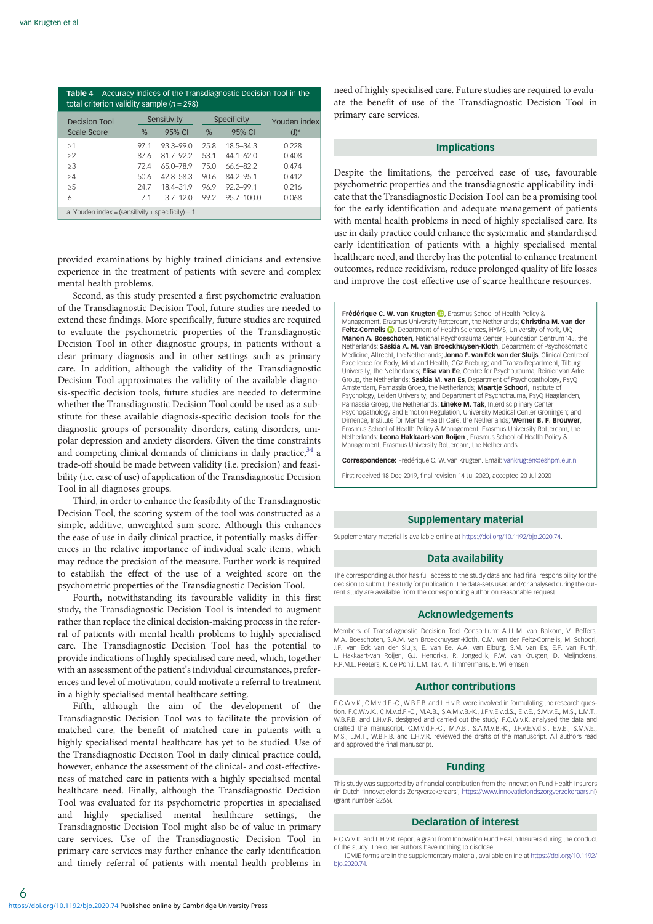<span id="page-5-0"></span>

| Accuracy indices of the Transdiagnostic Decision Tool in the<br>Table 4<br>total criterion validity sample $(n = 298)$ |             |               |             |                |                    |  |
|------------------------------------------------------------------------------------------------------------------------|-------------|---------------|-------------|----------------|--------------------|--|
| <b>Decision Tool</b>                                                                                                   | Sensitivity |               | Specificity |                | Youden index       |  |
| <b>Scale Score</b>                                                                                                     | $\%$        | 95% CI        | %           | 95% CI         | $(J)$ <sup>a</sup> |  |
| $\geq$ 1                                                                                                               | 971         | $93.3 - 99.0$ | 25.8        | $18.5 - 34.3$  | 0.228              |  |
| >2                                                                                                                     | 87.6        | 817-922       | 53.1        | $44.1 - 62.0$  | 0.408              |  |
| >3                                                                                                                     | 724         | 65.0-78.9     | 75.0        | $66.6 - 82.2$  | 0.474              |  |
| >4                                                                                                                     | 50.6        | $42.8 - 58.3$ | 90.6        | $84.2 - 95.1$  | 0.412              |  |
| >5                                                                                                                     | 24.7        | 18.4-31.9     | 96.9        | $922 - 991$    | 0.216              |  |
| 6                                                                                                                      | 7.1         | $3.7 - 12.0$  | 99.2        | $95.7 - 100.0$ | 0.068              |  |
| a. Youden index = (sensitivity + specificity) $-1$ .                                                                   |             |               |             |                |                    |  |

provided examinations by highly trained clinicians and extensive experience in the treatment of patients with severe and complex mental health problems.

Second, as this study presented a first psychometric evaluation of the Transdiagnostic Decision Tool, future studies are needed to extend these findings. More specifically, future studies are required to evaluate the psychometric properties of the Transdiagnostic Decision Tool in other diagnostic groups, in patients without a clear primary diagnosis and in other settings such as primary care. In addition, although the validity of the Transdiagnostic Decision Tool approximates the validity of the available diagnosis-specific decision tools, future studies are needed to determine whether the Transdiagnostic Decision Tool could be used as a substitute for these available diagnosis-specific decision tools for the diagnostic groups of personality disorders, eating disorders, unipolar depression and anxiety disorders. Given the time constraints and competing clinical demands of clinicians in daily practice,  $34$  a trade-off should be made between validity (i.e. precision) and feasibility (i.e. ease of use) of application of the Transdiagnostic Decision Tool in all diagnoses groups.

Third, in order to enhance the feasibility of the Transdiagnostic Decision Tool, the scoring system of the tool was constructed as a simple, additive, unweighted sum score. Although this enhances the ease of use in daily clinical practice, it potentially masks differences in the relative importance of individual scale items, which may reduce the precision of the measure. Further work is required to establish the effect of the use of a weighted score on the psychometric properties of the Transdiagnostic Decision Tool.

Fourth, notwithstanding its favourable validity in this first study, the Transdiagnostic Decision Tool is intended to augment rather than replace the clinical decision-making process in the referral of patients with mental health problems to highly specialised care. The Transdiagnostic Decision Tool has the potential to provide indications of highly specialised care need, which, together with an assessment of the patient's individual circumstances, preferences and level of motivation, could motivate a referral to treatment in a highly specialised mental healthcare setting.

Fifth, although the aim of the development of the Transdiagnostic Decision Tool was to facilitate the provision of matched care, the benefit of matched care in patients with a highly specialised mental healthcare has yet to be studied. Use of the Transdiagnostic Decision Tool in daily clinical practice could, however, enhance the assessment of the clinical- and cost-effectiveness of matched care in patients with a highly specialised mental healthcare need. Finally, although the Transdiagnostic Decision Tool was evaluated for its psychometric properties in specialised and highly specialised mental healthcare settings, the Transdiagnostic Decision Tool might also be of value in primary care services. Use of the Transdiagnostic Decision Tool in primary care services may further enhance the early identification and timely referral of patients with mental health problems in

need of highly specialised care. Future studies are required to evaluate the benefit of use of the Transdiagnostic Decision Tool in primary care services.

### Implications

Despite the limitations, the perceived ease of use, favourable psychometric properties and the transdiagnostic applicability indicate that the Transdiagnostic Decision Tool can be a promising tool for the early identification and adequate management of patients with mental health problems in need of highly specialised care. Its use in daily practice could enhance the systematic and standardised early identification of patients with a highly specialised mental healthcare need, and thereby has the potential to enhance treatment outcomes, reduce recidivism, reduce prolonged quality of life losses and improve the cost-effective use of scarce healthcare resources.

Frédérique C. W. van Krugten (D), Erasmus School of Health Policy & Management, Erasmus University Rotterdam, the Netherlands; Christina M. van der Feltz-Cornelis **D**, Department of Health Sciences, HYMS, University of York, UK; Manon A. Boeschoten, National Psychotrauma Center, Foundation Centrum '45, the Netherlands**: Saskia A. M. van Broeckhuysen-Kloth**, Department of Psychosomatic Medicine, Altrecht, the Netherlands; Jonna F. van Eck van der Sluijs, Clinical Centre of Excellence for Body, Mind and Health, GGz Breburg; and Tranzo Department, Tilburg University, the Netherlands; **Elisa van Ee**, Centre for Psychotrauma, Reinier van Arkel<br>Group, the Netherlands; **Saskia M. van Es**, Department of Psychopathology, PsyQ Amsterdam, Parnassia Groep, the Netherlands; Maartje Schoorl, Institute of Psychology, Leiden University; and Department of Psychotrauma, PsyQ Haaglanden,<br>Parnassia Groep, the Netherlands; **Lineke M. Tak**, Interdisciplinary Center Psychopathology and Emotion Regulation, University Medical Center Groningen; and Dimence, Institute for Mental Health Care, the Netherlands; Werner B. F. Brouwer, Erasmus School of Health Policy & Management, Erasmus University Rotterdam, the Netherlands; Leona Hakkaart-van Roijen, Erasmus School of Health Policy & Management, Erasmus University Rotterdam, the Netherlands

Correspondence: Frédérique C. W. van Krugten. Email: [vankrugten@eshpm.eur.nl](mailto:vankrugten@eshpm.eur.nl)

First received 18 Dec 2019, final revision 14 Jul 2020, accepted 20 Jul 2020

#### Supplementary material

Supplementary material is available online at <https://doi.org/10.1192/bjo.2020.74>.

#### Data availability

The corresponding author has full access to the study data and had final responsibility for the decision to submit the study for publication. The data-sets used and/or analysed during the current study are available from the corresponding author on reasonable request.

## Acknowledgements

Members of Transdiagnostic Decision Tool Consortium: A.J.L.M. van Balkom, V. Beffers, M.A. Boeschoten, S.A.M. van Broeckhuysen-Kloth, C.M. van der Feltz-Cornelis, M. Schoorl, J.F. van Eck van der Sluijs, E. van Ee, A.A. van Elburg, S.M. van Es, E.F. van Furth, L. Hakkaart-van Roijen, G.J. Hendriks, R. Jongedijk, F.W. van Krugten, D. Meijnckens, F.P.M.L. Peeters, K. de Ponti, L.M. Tak, A. Timmermans, E. Willemsen.

#### Author contributions

F.C.W.v.K., C.M.v.d.F.-C., W.B.F.B. and L.H.v.R. were involved in formulating the research question. F.C.W.v.K., C.M.v.d.F.-C., M.A.B., S.A.M.v.B.-K., J.F.v.E.v.d.S., E.v.E., S.M.v.E., M.S., L.M.T., W.B.F.B. and L.H.v.R. designed and carried out the study. F.C.W.v.K. analysed the data and drafted the manuscript. C.M.v.d.F.-C., M.A.B., S.A.M.v.B.-K., J.F.v.E.v.d.S., E.v.E., S.M.v.E., M.S., L.M.T., W.B.F.B. and L.H.v.R. reviewed the drafts of the manuscript. All authors read and approved the final manuscript.

## Funding

This study was supported by a financial contribution from the Innovation Fund Health Insurers (in Dutch 'Innovatiefonds Zorgverzekeraars', <https://www.innovatiefondszorgverzekeraars.nl>) (grant number 3266).

# Declaration of interest

F.C.W.v.K. and L.H.v.R. report a grant from Innovation Fund Health Insurers during the conduct of the study. The other authors have nothing to disclose.

ICMJE forms are in the supplementary material, available online at [https://doi.org/10.1192/](https://doi.org/10.1192/bjo.2020.74) [bjo.2020.74.](https://doi.org/10.1192/bjo.2020.74)